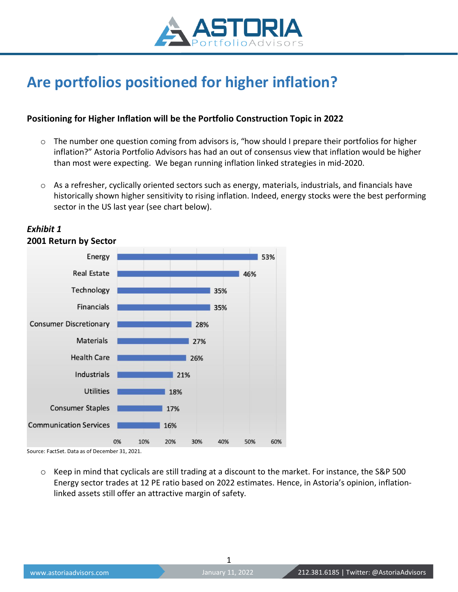

# **Are portfolios positioned for higher inflation?**

### **Positioning for Higher Inflation will be the Portfolio Construction Topic in 2022**

- $\circ$  The number one question coming from advisors is, "how should I prepare their portfolios for higher inflation?" Astoria Portfolio Advisors has had an out of consensus view that inflation would be higher than most were expecting. We began running inflation linked strategies in mid-2020.
- $\circ$  As a refresher, cyclically oriented sectors such as energy, materials, industrials, and financials have historically shown higher sensitivity to rising inflation. Indeed, energy stocks were the best performing sector in the US last year (see chart below).



#### *Exhibit 1* **2001 Return by Sector**

Source: FactSet. Data as of December 31, 2021.

 $\circ$  Keep in mind that cyclicals are still trading at a discount to the market. For instance, the S&P 500 Energy sector trades at 12 PE ratio based on 2022 estimates. Hence, in Astoria's opinion, inflationlinked assets still offer an attractive margin of safety.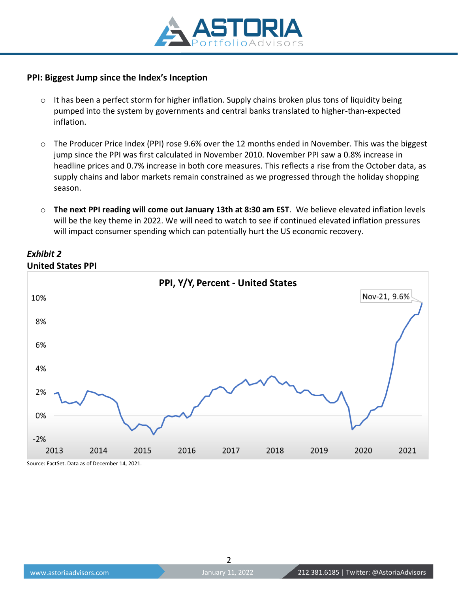

#### **PPI: Biggest Jump since the Index's Inception**

- $\circ$  It has been a perfect storm for higher inflation. Supply chains broken plus tons of liquidity being pumped into the system by governments and central banks translated to higher-than-expected inflation.
- o The Producer Price Index (PPI) rose 9.6% over the 12 months ended in November. This was the biggest jump since the PPI was first calculated in November 2010. November PPI saw a 0.8% increase in headline prices and 0.7% increase in both core measures. This reflects a rise from the October data, as supply chains and labor markets remain constrained as we progressed through the holiday shopping season.
- o **The next PPI reading will come out January 13th at 8:30 am EST**. We believe elevated inflation levels will be the key theme in 2022. We will need to watch to see if continued elevated inflation pressures will impact consumer spending which can potentially hurt the US economic recovery.



## *Exhibit 2* **United States PPI**

Source: FactSet. Data as of December 14, 2021.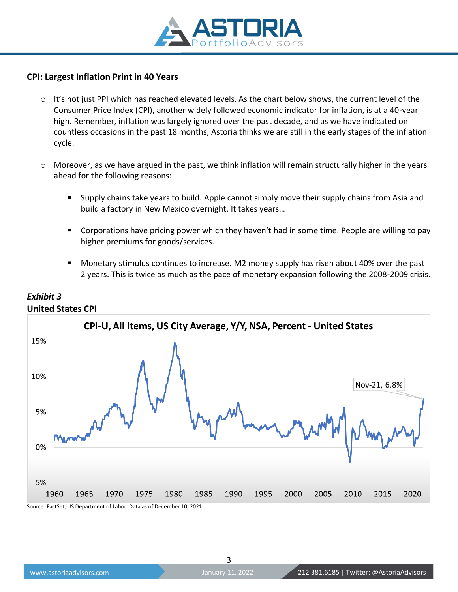

#### **CPI: Largest Inflation Print in 40 Years**

- $\circ$  It's not just PPI which has reached elevated levels. As the chart below shows, the current level of the Consumer Price Index (CPI), another widely followed economic indicator for inflation, is at a 40-year high. Remember, inflation was largely ignored over the past decade, and as we have indicated on countless occasions in the past 18 months, Astoria thinks we are still in the early stages of the inflation cycle.
- $\circ$  Moreover, as we have argued in the past, we think inflation will remain structurally higher in the years ahead for the following reasons:
	- **E** Supply chains take years to build. Apple cannot simply move their supply chains from Asia and build a factory in New Mexico overnight. It takes years…
	- Corporations have pricing power which they haven't had in some time. People are willing to pay higher premiums for goods/services.
	- Monetary stimulus continues to increase. M2 money supply has risen about 40% over the past 2 years. This is twice as much as the pace of monetary expansion following the 2008-2009 crisis.



### *Exhibit 3* **United States CPI**

Source: FactSet, US Department of Labor. Data as of December 10, 2021.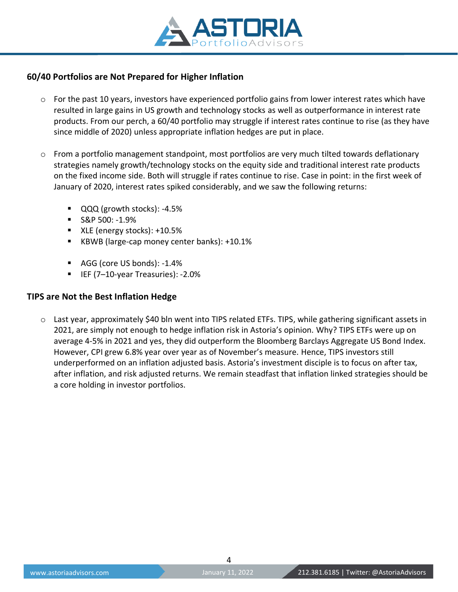

#### **60/40 Portfolios are Not Prepared for Higher Inflation**

- o For the past 10 years, investors have experienced portfolio gains from lower interest rates which have resulted in large gains in US growth and technology stocks as well as outperformance in interest rate products. From our perch, a 60/40 portfolio may struggle if interest rates continue to rise (as they have since middle of 2020) unless appropriate inflation hedges are put in place.
- $\circ$  From a portfolio management standpoint, most portfolios are very much tilted towards deflationary strategies namely growth/technology stocks on the equity side and traditional interest rate products on the fixed income side. Both will struggle if rates continue to rise. Case in point: in the first week of January of 2020, interest rates spiked considerably, and we saw the following returns:
	- QQQ (growth stocks): -4.5%
	- $\blacksquare$  S&P 500: -1.9%
	- XLE (energy stocks): +10.5%
	- KBWB (large-cap money center banks): +10.1%
	- AGG (core US bonds): -1.4%
	- IEF (7-10-year Treasuries): -2.0%

#### **TIPS are Not the Best Inflation Hedge**

o Last year, approximately \$40 bln went into TIPS related ETFs. TIPS, while gathering significant assets in 2021, are simply not enough to hedge inflation risk in Astoria's opinion. Why? TIPS ETFs were up on average 4-5% in 2021 and yes, they did outperform the Bloomberg Barclays Aggregate US Bond Index. However, CPI grew 6.8% year over year as of November's measure. Hence, TIPS investors still underperformed on an inflation adjusted basis. Astoria's investment disciple is to focus on after tax, after inflation, and risk adjusted returns. We remain steadfast that inflation linked strategies should be a core holding in investor portfolios.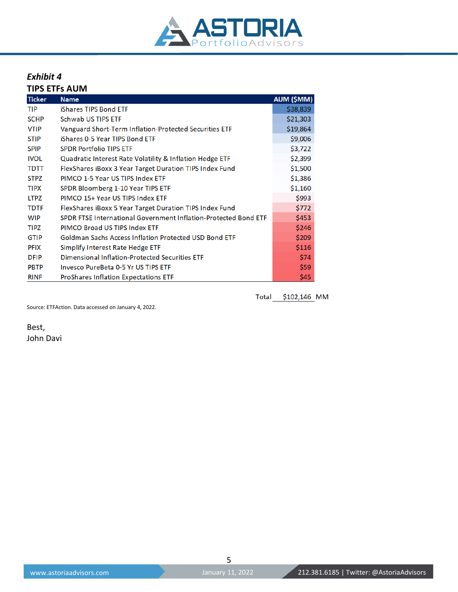

# *Exhibit 4*

**TIPS ETFs AUM**

| <b>Ticker</b> | <b>Name</b>                                                     | AUM (\$MM) |
|---------------|-----------------------------------------------------------------|------------|
| <b>TIP</b>    | iShares TIPS Bond ETF                                           | \$38,839   |
| <b>SCHP</b>   | Schwab US TIPS ETF                                              | \$21,303   |
| <b>VTIP</b>   | Vanguard Short-Term Inflation-Protected Securities ETF          | \$19,864   |
| <b>STIP</b>   | iShares 0-5 Year TIPS Bond ETF                                  | \$9,006    |
| <b>SPIP</b>   | <b>SPDR Portfolio TIPS ETF</b>                                  | \$3,722    |
| <b>IVOL</b>   | Quadratic Interest Rate Volatility & Inflation Hedge ETF        | \$2,399    |
| <b>TDTT</b>   | FlexShares iBoxx 3 Year Target Duration TIPS Index Fund         | \$1,500    |
| <b>STPZ</b>   | PIMCO 1-5 Year US TIPS Index ETF                                | \$1,386    |
| <b>TIPX</b>   | SPDR Bloomberg 1-10 Year TIPS ETF                               | \$1,160    |
| <b>LTPZ</b>   | PIMCO 15+ Year US TIPS Index ETF                                | \$993      |
| <b>TDTF</b>   | FlexShares iBoxx 5 Year Target Duration TIPS Index Fund         | \$772      |
| <b>WIP</b>    | SPDR FTSE International Government Inflation-Protected Bond ETF | \$453      |
| <b>TIPZ</b>   | PIMCO Broad US TIPS Index ETF                                   | \$246      |
| <b>GTIP</b>   | <b>Goldman Sachs Access Inflation Protected USD Bond ETF</b>    | \$209      |
| <b>PFIX</b>   | Simplify Interest Rate Hedge ETF                                | \$116      |
| <b>DFIP</b>   | Dimensional Inflation-Protected Securities ETF                  | \$74       |
| <b>PBTP</b>   | Invesco PureBeta 0-5 Yr US TIPS ETF                             | \$59       |
| <b>RINF</b>   | <b>ProShares Inflation Expectations ETF</b>                     | \$45       |

Total \$102,146 MM

Source: ETFAction. Data accessed on January 4, 2022.

Best, John Davi